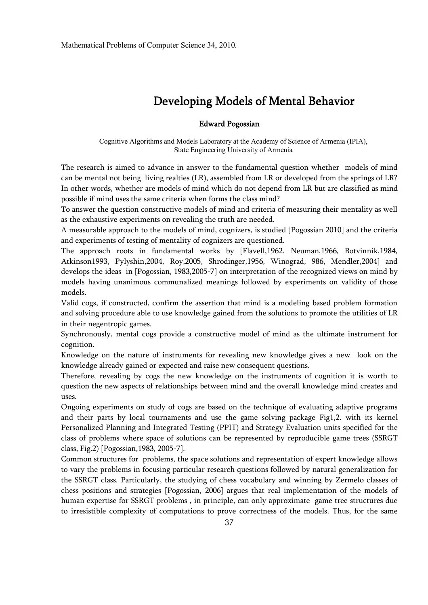## **Developing Models of Mental Behavior**

## **Edward Pogossian**

Cognitive Algorithms and Models Laboratory at the Academy of Science of Armenia (IPIA), State Engineering University of Armenia

The research is aimed to advance in answer to the fundamental question whether models of mind can be mental not being living realties (LR), assembled from LR or developed from the springs of LR? In other words, whether are models of mind which do not depend from LR but are classified as mind possible if mind uses the same criteria when forms the class mind?

To answer the question constructive models of mind and criteria of measuring their mentality as well as the exhaustive experiments on revealing the truth are needed.

A measurable approach to the models of mind, cognizers, is studied [Pogossian 2010] and the criteria and experiments of testing of mentality of cognizers are questioned.

The approach roots in fundamental works by [Flavell,1962, Neuman,1966, Botvinnik,1984, Atkinson1993, Pylyshin,2004, Roy,2005, Shrodinger,1956, Winograd, 986, Mendler,2004] and develops the ideas in [Pogossian, 1983,2005-7] on interpretation of the recognized views on mind by models having unanimous communalized meanings followed by experiments on validity of those models.

Valid cogs, if constructed, confirm the assertion that mind is a modeling based problem formation and solving procedure able to use knowledge gained from the solutions to promote the utilities of LR in their negentropic games.

Synchronously, mental cogs provide a constructive model of mind as the ultimate instrument for cognition.

Knowledge on the nature of instruments for revealing new knowledge gives a new look on the knowledge already gained or expected and raise new consequent questions.

Therefore, revealing by cogs the new knowledge on the instruments of cognition it is worth to question the new aspects of relationships between mind and the overall knowledge mind creates and uses.

Ongoing experiments on study of cogs are based on the technique of evaluating adaptive programs and their parts by local tournaments and use the game solving package Fig1,2. with its kernel Personalized Planning and Integrated Testing (PPIT) and Strategy Evaluation units specified for the class of problems where space of solutions can be represented by reproducible game trees (SSRGT class, Fig.2) [Pogossian,1983, 2005-7].

Common structures for problems, the space solutions and representation of expert knowledge allows to vary the problems in focusing particular research questions followed by natural generalization for the SSRGT class. Particularly, the studying of chess vocabulary and winning by Zermelo classes of chess positions and strategies [Pogossian, 2006] argues that real implementation of the models of human expertise for SSRGT problems , in principle, can only approximate game tree structures due to irresistible complexity of computations to prove correctness of the models. Thus, for the same